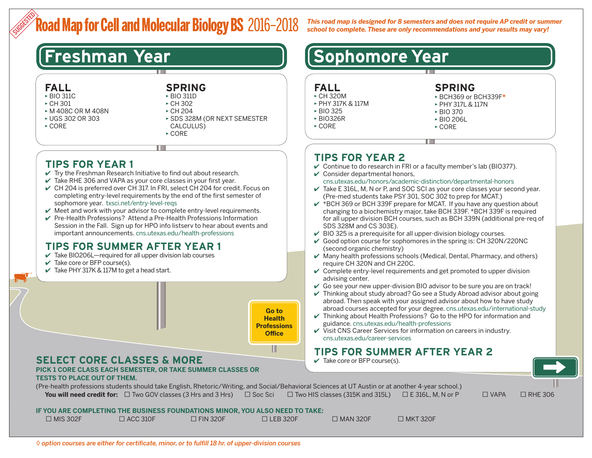## **Road Map for Cell and Molecular Biology BS** 2016–2018 SUGGESTED

*This road map is designed for 8 semesters and does not require AP credit or summer school to complete. These are only recommendations and your results may vary!*

## **FALL**

- ▶ BIO 311C
- $\triangleright$  CH 301
- ▶ M 408C OR M 408N
- ▶ UGS 302 OR 303
- $\triangleright$  CORE

**SPRING** ▶ BIO 311D

▶ CH 302 ▶ CH 204 ▶ SDS 328M (OR NEXT SEMESTER

- CALCULUS)
- ▶ CORE

## **TIPS FOR YEAR 1**

- $\vee$  Try the Freshman Research Initiative to find out about research.
- $\vee$  Take RHE 306 and VAPA as your core classes in your first year.
- ✔ CH 204 is preferred over CH 317. In FRI, select CH 204 for credit. Focus on completing entry-level requirements by the end of the first semester of sophomore year. [txsci.net/entry-level-reqs](http://txsci.net/entry-level-reqs)
- $\vee$  Meet and work with your advisor to complete entry-level requirements.
- $\vee$  Pre-Health Professions? Attend a Pre-Health Professions Information Session in the Fall. Sign up for HPO info listserv to hear about events and important announcements. [cns.utexas.edu/health-professions](http://cns.utexas.edu/health-professions)

## **TIPS FOR SUMMER AFTER YEAR 1**

- $\vee$  Take BIO206L—required for all upper division lab courses
- $\vee$  Take core or BFP course(s).
- $\checkmark$  Take PHY 317K & 117M to get a head start.



## **SELECT CORE CLASSES & MORE**

#### **PICK 1 CORE CLASS EACH SEMESTER, OR TAKE SUMMER CLASSES OR TESTS TO PLACE OUT OF THEM.**

(Pre-health professions students should take English, Rhetoric/Writing, and Social/Behavioral Sciences at UT Austin or at another 4-year school.) **You will need credit for:** □ Two GOV classes (3 Hrs and 3 Hrs) □ Soc Sci □ Two HIS classes (315K and 315L) □ E 316L, M, N or P □ VAPA □ RHE 306

#### **IF YOU ARE COMPLETING THE BUSINESS FOUNDATIONS MINOR, YOU ALSO NEED TO TAKE:**

| $\Box$ MIS 302F | $\Box$ ACC 310F | $\triangle$ FIN 320F | $\Box$ LEB 320F | $\square$ MAN 320F | $\square$ MKT 320F |
|-----------------|-----------------|----------------------|-----------------|--------------------|--------------------|
|                 |                 |                      |                 |                    |                    |

# **Freshman Year [Sophomore Year**]

- **FALL**
- ▶ CH 320M
- ▶ PHY 317K & 117M
- ▶ BIO 325
- ▶ BIO326R
- ▶ CORE

## **SPRING**

- ▶ BCH369 or BCH339F*\**
- ▶ PHY 317L & 117N
- ▶ BIO 370
- ▶ BIO 206L
- ▶ CORE

## **TIPS FOR YEAR 2**

- $\vee$  Continue to do research in FRI or a faculty member's lab (BIO377).
- $\vee$  Consider departmental honors,

#### [cns.utexas.edu/honors/academic-distinction/departmental-honors](http://cns.utexas.edu/honors/academic-distinction/departmental-honors)

- $\checkmark$  Take E 316L, M, N or P, and SOC SCI as your core classes your second year. (Pre-med students take PSY 301, SOC 302 to prep for MCAT.)
- $\checkmark$  \*BCH 369 or BCH 339F prepare for MCAT. If you have any question about changing to a biochemistry major, take BCH 339F. \*BCH 339F is required for all upper division BCH courses, such as BCH 339N (additional pre-req of SDS 328M and CS 303E).
- $\vee$  BIO 325 is a prerequisite for all upper-division biology courses.
- $\vee$  Good option course for sophomores in the spring is: CH 320N/220NC (second organic chemistry)
- $\vee$  Many health professions schools (Medical, Dental, Pharmacy, and others) require CH 320N and CH 220C.
- $\vee$  Complete entry-level requirements and get promoted to upper division advising center.
- $\vee$  Go see your new upper-division BIO advisor to be sure you are on track!
- $\vee$  Thinking about study abroad? Go see a Study Abroad advisor about going abroad. Then speak with your assigned advisor about how to have study abroad courses accepted for your degree. [cns.utexas.edu/international-study](http://cns.utexas.edu/international-study)
- $\vee$  Thinking about Health Professions? Go to the HPO for information and guidance. [cns.utexas.edu/health-professions](http://cns.utexas.edu/health-professions)
- $\checkmark$  Visit CNS Career Services for information on careers in industry. [cns.utexas.edu/career-services](http://cns.utexas.edu/career-services)

## **TIPS FOR SUMMER AFTER YEAR 2**

 $\checkmark$  Take core or BFP course(s).